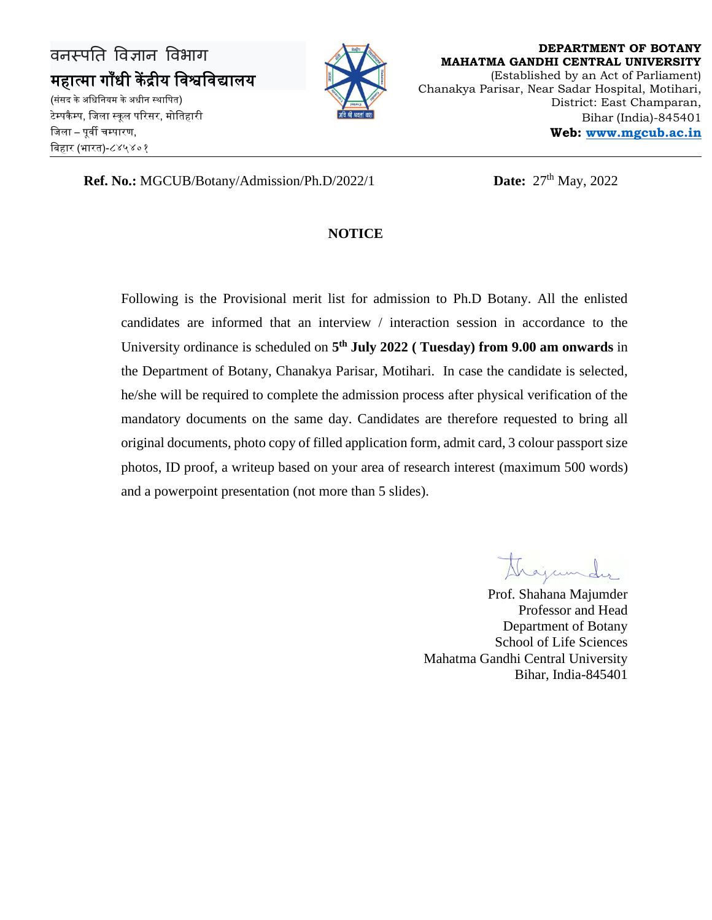

**DEPARTMENT OF BOTANY MAHATMA GANDHI CENTRAL UNIVERSITY** (Established by an Act of Parliament) Chanakya Parisar, Near Sadar Hospital, Motihari, District: East Champaran, Bihar (India)-845401 **Web: [www.mgcub.ac.in](http://www.mgcub.ac.in/)**

**Ref. No.:** MGCUB/Botany/Admission/Ph.D/2022/1 **Date:**  $27<sup>th</sup>$  May, 2022

#### **NOTICE**

Following is the Provisional merit list for admission to Ph.D Botany. All the enlisted candidates are informed that an interview / interaction session in accordance to the University ordinance is scheduled on **5 th July 2022 ( Tuesday) from 9.00 am onwards** in the Department of Botany, Chanakya Parisar, Motihari. In case the candidate is selected, he/she will be required to complete the admission process after physical verification of the mandatory documents on the same day. Candidates are therefore requested to bring all original documents, photo copy of filled application form, admit card, 3 colour passport size photos, ID proof, a writeup based on your area of research interest (maximum 500 words) and a powerpoint presentation (not more than 5 slides).

Prof. Shahana Majumder Professor and Head Department of Botany School of Life Sciences Mahatma Gandhi Central University Bihar, India-845401